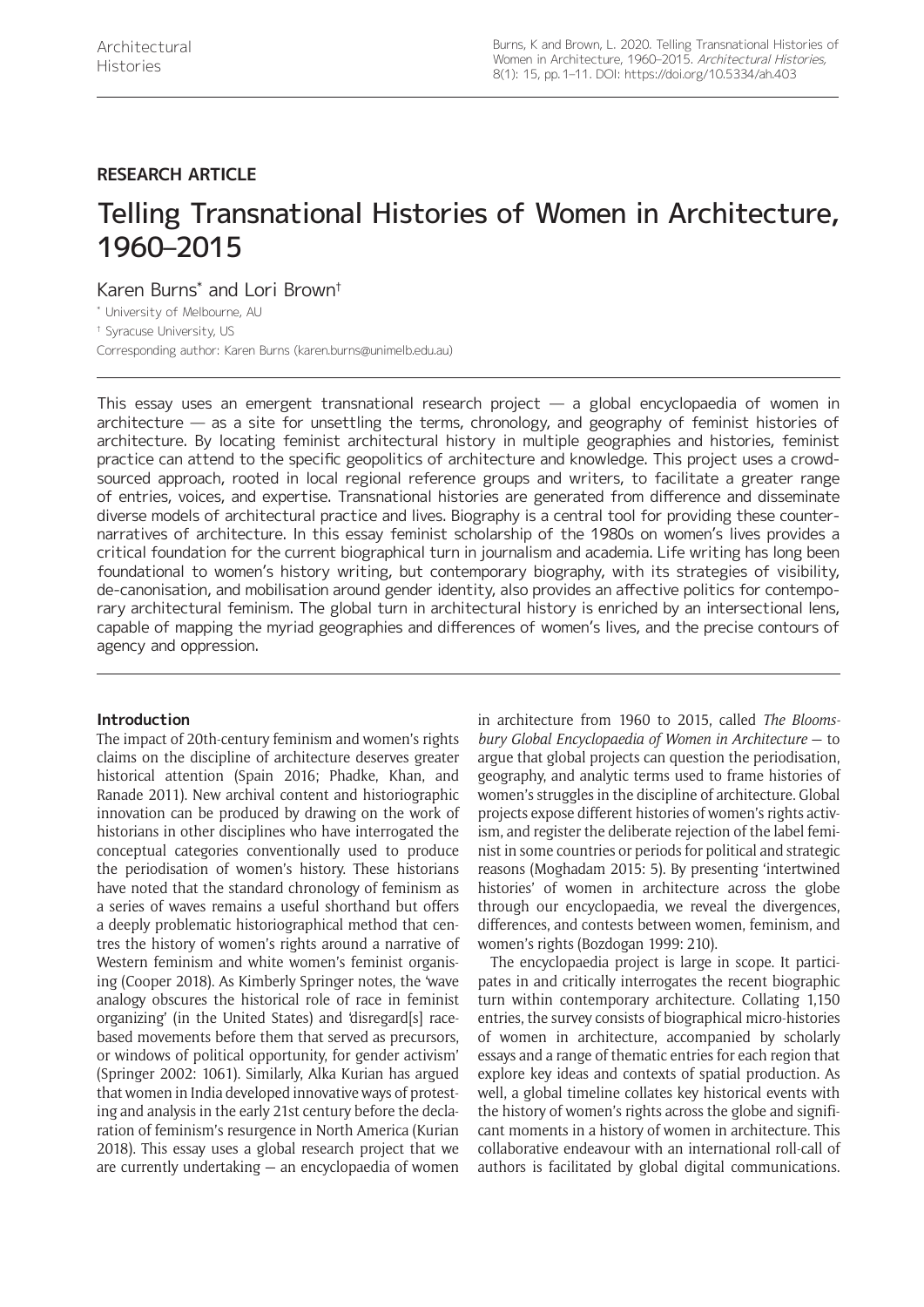## **RESEARCH ARTICLE**

# Telling Transnational Histories of Women in Architecture, 1960–2015

Karen Burns\* and Lori Brown†

\* University of Melbourne, AU

† Syracuse University, US

Corresponding author: Karen Burns [\(karen.burns@unimelb.edu.au](mailto:karen.burns@unimelb.edu.au))

This essay uses an emergent transnational research project — a global encyclopaedia of women in architecture — as a site for unsettling the terms, chronology, and geography of feminist histories of architecture. By locating feminist architectural history in multiple geographies and histories, feminist practice can attend to the specific geopolitics of architecture and knowledge. This project uses a crowdsourced approach, rooted in local regional reference groups and writers, to facilitate a greater range of entries, voices, and expertise. Transnational histories are generated from difference and disseminate diverse models of architectural practice and lives. Biography is a central tool for providing these counternarratives of architecture. In this essay feminist scholarship of the 1980s on women's lives provides a critical foundation for the current biographical turn in journalism and academia. Life writing has long been foundational to women's history writing, but contemporary biography, with its strategies of visibility, de-canonisation, and mobilisation around gender identity, also provides an affective politics for contemporary architectural feminism. The global turn in architectural history is enriched by an intersectional lens, capable of mapping the myriad geographies and differences of women's lives, and the precise contours of agency and oppression.

## **Introduction**

The impact of 20th-century feminism and women's rights claims on the discipline of architecture deserves greater historical attention (Spain 2016; Phadke, Khan, and Ranade 2011). New archival content and historiographic innovation can be produced by drawing on the work of historians in other disciplines who have interrogated the conceptual categories conventionally used to produce the periodisation of women's history. These historians have noted that the standard chronology of feminism as a series of waves remains a useful shorthand but offers a deeply problematic historiographical method that centres the history of women's rights around a narrative of Western feminism and white women's feminist organising (Cooper 2018). As Kimberly Springer notes, the 'wave analogy obscures the historical role of race in feminist organizing' (in the United States) and 'disregard[s] racebased movements before them that served as precursors, or windows of political opportunity, for gender activism' (Springer 2002: 1061). Similarly, Alka Kurian has argued that women in India developed innovative ways of protesting and analysis in the early 21st century before the declaration of feminism's resurgence in North America (Kurian 2018). This essay uses a global research project that we are currently undertaking — an encyclopaedia of women

in architecture from 1960 to 2015, called *The Bloomsbury Global Encyclopaedia of Women in Architecture* — to argue that global projects can question the periodisation, geography, and analytic terms used to frame histories of women's struggles in the discipline of architecture. Global projects expose different histories of women's rights activism, and register the deliberate rejection of the label feminist in some countries or periods for political and strategic reasons (Moghadam 2015: 5). By presenting 'intertwined histories' of women in architecture across the globe through our encyclopaedia, we reveal the divergences, differences, and contests between women, feminism, and women's rights (Bozdogan 1999: 210).

The encyclopaedia project is large in scope. It participates in and critically interrogates the recent biographic turn within contemporary architecture. Collating 1,150 entries, the survey consists of biographical micro-histories of women in architecture, accompanied by scholarly essays and a range of thematic entries for each region that explore key ideas and contexts of spatial production. As well, a global timeline collates key historical events with the history of women's rights across the globe and significant moments in a history of women in architecture. This collaborative endeavour with an international roll-call of authors is facilitated by global digital communications.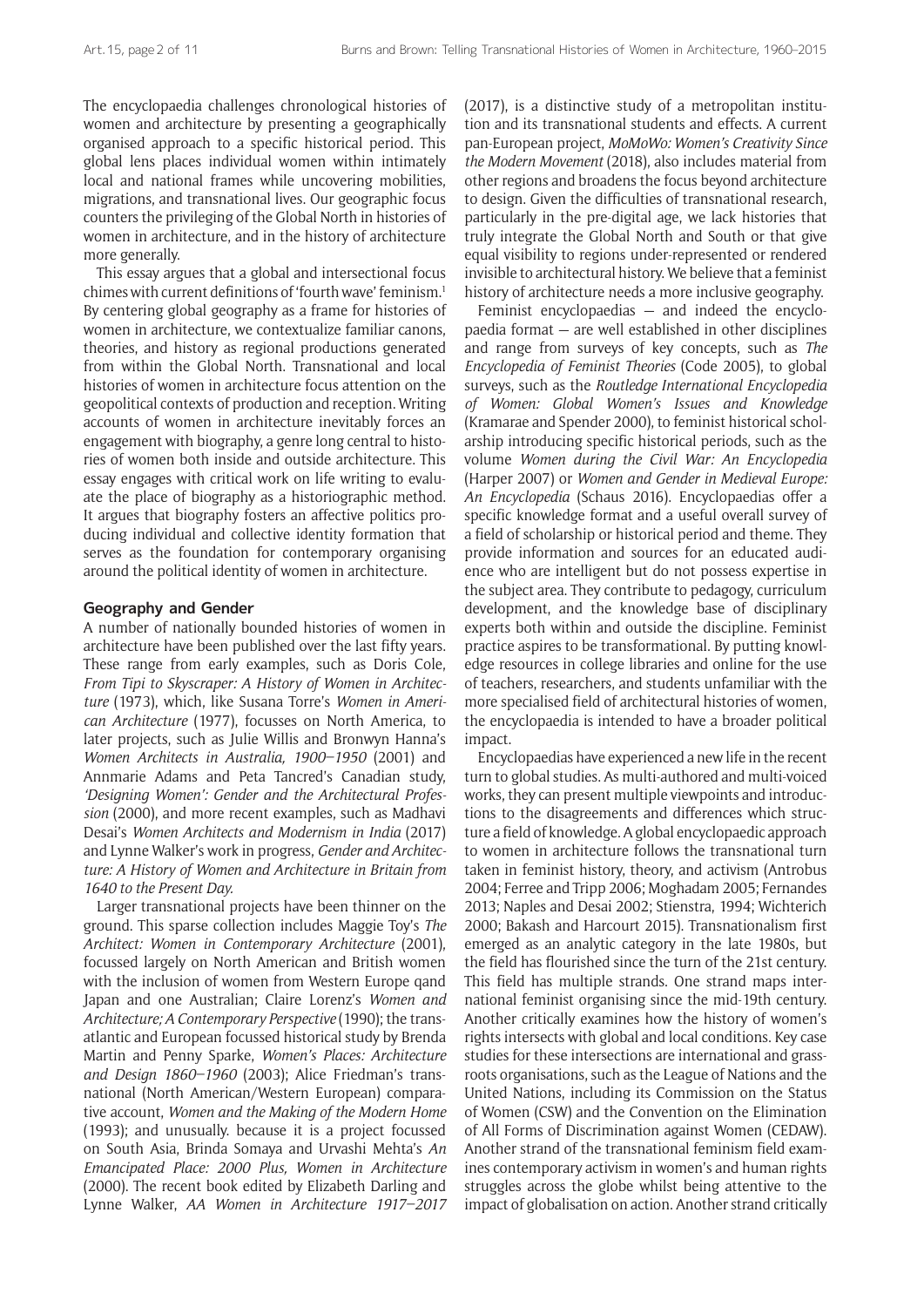The encyclopaedia challenges chronological histories of women and architecture by presenting a geographically organised approach to a specific historical period. This global lens places individual women within intimately local and national frames while uncovering mobilities, migrations, and transnational lives. Our geographic focus counters the privileging of the Global North in histories of women in architecture, and in the history of architecture more generally.

This essay argues that a global and intersectional focus chimes with current definitions of 'fourth wave' feminism.1 By centering global geography as a frame for histories of women in architecture, we contextualize familiar canons, theories, and history as regional productions generated from within the Global North. Transnational and local histories of women in architecture focus attention on the geopolitical contexts of production and reception. Writing accounts of women in architecture inevitably forces an engagement with biography, a genre long central to histories of women both inside and outside architecture. This essay engages with critical work on life writing to evaluate the place of biography as a historiographic method. It argues that biography fosters an affective politics producing individual and collective identity formation that serves as the foundation for contemporary organising around the political identity of women in architecture.

#### **Geography and Gender**

A number of nationally bounded histories of women in architecture have been published over the last fifty years. These range from early examples, such as Doris Cole, *From Tipi to Skyscraper: A History of Women in Architecture* (1973), which, like Susana Torre's *Women in American Architecture* (1977), focusses on North America, to later projects, such as Julie Willis and Bronwyn Hanna's *Women Architects in Australia, 1900–1950* (2001) and Annmarie Adams and Peta Tancred's Canadian study, *'Designing Women': Gender and the Architectural Profession* (2000), and more recent examples, such as Madhavi Desai's *Women Architects and Modernism in India* (2017) and Lynne Walker's work in progress, *Gender and Architecture: A History of Women and Architecture in Britain from 1640 to the Present Day.*

Larger transnational projects have been thinner on the ground. This sparse collection includes Maggie Toy's *The Architect: Women in Contemporary Architecture* (2001), focussed largely on North American and British women with the inclusion of women from Western Europe qand Japan and one Australian; Claire Lorenz's *Women and Architecture; A Contemporary Perspective* (1990); the transatlantic and European focussed historical study by Brenda Martin and Penny Sparke, *Women's Places: Architecture and Design 1860–1960* (2003); Alice Friedman's transnational (North American/Western European) comparative account, *Women and the Making of the Modern Home* (1993); and unusually. because it is a project focussed on South Asia, Brinda Somaya and Urvashi Mehta's *An Emancipated Place: 2000 Plus, Women in Architecture* (2000). The recent book edited by Elizabeth Darling and Lynne Walker, *AA Women in Architecture 1917–2017*

(2017), is a distinctive study of a metropolitan institution and its transnational students and effects. A current pan-European project, *MoMoWo: Women's Creativity Since the Modern Movement* (2018), also includes material from other regions and broadens the focus beyond architecture to design. Given the difficulties of transnational research, particularly in the pre-digital age, we lack histories that truly integrate the Global North and South or that give equal visibility to regions under-represented or rendered invisible to architectural history. We believe that a feminist history of architecture needs a more inclusive geography.

Feminist encyclopaedias — and indeed the encyclopaedia format — are well established in other disciplines and range from surveys of key concepts, such as *The Encyclopedia of Feminist Theories* (Code 2005), to global surveys, such as the *Routledge International Encyclopedia of Women: Global Women's Issues and Knowledge*  (Kramarae and Spender 2000), to feminist historical scholarship introducing specific historical periods, such as the volume *Women during the Civil War: An Encyclopedia* (Harper 2007) or *Women and Gender in Medieval Europe: An Encyclopedia* (Schaus 2016). Encyclopaedias offer a specific knowledge format and a useful overall survey of a field of scholarship or historical period and theme. They provide information and sources for an educated audience who are intelligent but do not possess expertise in the subject area. They contribute to pedagogy, curriculum development, and the knowledge base of disciplinary experts both within and outside the discipline. Feminist practice aspires to be transformational. By putting knowledge resources in college libraries and online for the use of teachers, researchers, and students unfamiliar with the more specialised field of architectural histories of women, the encyclopaedia is intended to have a broader political impact.

Encyclopaedias have experienced a new life in the recent turn to global studies. As multi-authored and multi-voiced works, they can present multiple viewpoints and introductions to the disagreements and differences which structure a field of knowledge. A global encyclopaedic approach to women in architecture follows the transnational turn taken in feminist history, theory, and activism (Antrobus 2004; Ferree and Tripp 2006; Moghadam 2005; Fernandes 2013; Naples and Desai 2002; Stienstra, 1994; Wichterich 2000; Bakash and Harcourt 2015). Transnationalism first emerged as an analytic category in the late 1980s, but the field has flourished since the turn of the 21st century. This field has multiple strands. One strand maps international feminist organising since the mid-19th century. Another critically examines how the history of women's rights intersects with global and local conditions. Key case studies for these intersections are international and grassroots organisations, such as the League of Nations and the United Nations, including its Commission on the Status of Women (CSW) and the Convention on the Elimination of All Forms of Discrimination against Women (CEDAW). Another strand of the transnational feminism field examines contemporary activism in women's and human rights struggles across the globe whilst being attentive to the impact of globalisation on action. Another strand critically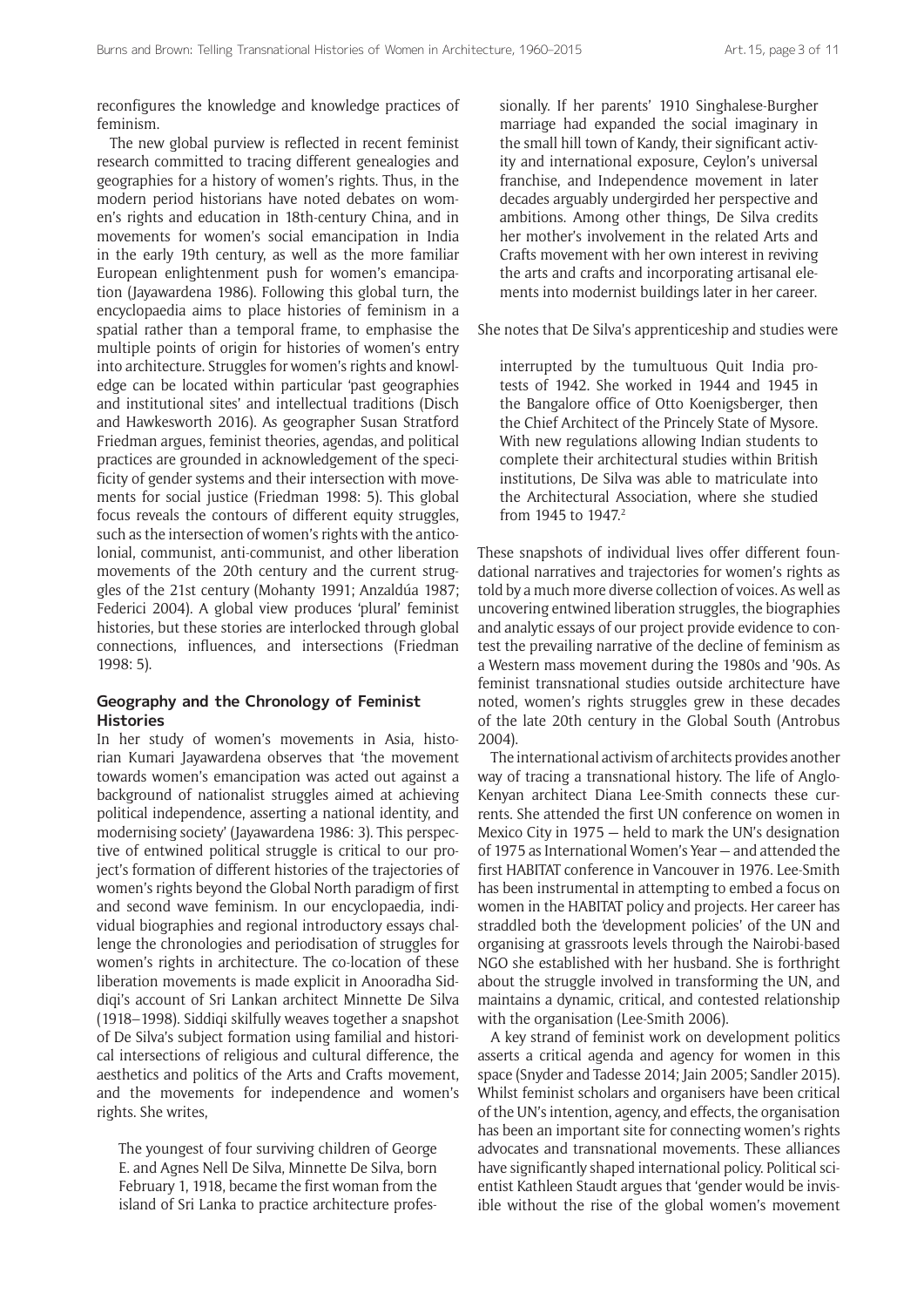reconfigures the knowledge and knowledge practices of feminism.

The new global purview is reflected in recent feminist research committed to tracing different genealogies and geographies for a history of women's rights. Thus, in the modern period historians have noted debates on women's rights and education in 18th-century China, and in movements for women's social emancipation in India in the early 19th century, as well as the more familiar European enlightenment push for women's emancipation (Jayawardena 1986). Following this global turn, the encyclopaedia aims to place histories of feminism in a spatial rather than a temporal frame, to emphasise the multiple points of origin for histories of women's entry into architecture. Struggles for women's rights and knowledge can be located within particular 'past geographies and institutional sites' and intellectual traditions (Disch and Hawkesworth 2016). As geographer Susan Stratford Friedman argues, feminist theories, agendas, and political practices are grounded in acknowledgement of the specificity of gender systems and their intersection with movements for social justice (Friedman 1998: 5). This global focus reveals the contours of different equity struggles, such as the intersection of women's rights with the anticolonial, communist, anti-communist, and other liberation movements of the 20th century and the current struggles of the 21st century (Mohanty 1991; Anzaldúa 1987; Federici 2004). A global view produces 'plural' feminist histories, but these stories are interlocked through global connections, influences, and intersections (Friedman 1998: 5).

## **Geography and the Chronology of Feminist Histories**

In her study of women's movements in Asia, historian Kumari Jayawardena observes that 'the movement towards women's emancipation was acted out against a background of nationalist struggles aimed at achieving political independence, asserting a national identity, and modernising society' (Jayawardena 1986: 3). This perspective of entwined political struggle is critical to our project's formation of different histories of the trajectories of women's rights beyond the Global North paradigm of first and second wave feminism. In our encyclopaedia*,* individual biographies and regional introductory essays challenge the chronologies and periodisation of struggles for women's rights in architecture. The co-location of these liberation movements is made explicit in Anooradha Siddiqi's account of Sri Lankan architect Minnette De Silva (1918–1998). Siddiqi skilfully weaves together a snapshot of De Silva's subject formation using familial and historical intersections of religious and cultural difference, the aesthetics and politics of the Arts and Crafts movement, and the movements for independence and women's rights. She writes,

The youngest of four surviving children of George E. and Agnes Nell De Silva, Minnette De Silva, born February 1, 1918, became the first woman from the island of Sri Lanka to practice architecture professionally. If her parents' 1910 Singhalese-Burgher marriage had expanded the social imaginary in the small hill town of Kandy, their significant activity and international exposure, Ceylon's universal franchise, and Independence movement in later decades arguably undergirded her perspective and ambitions. Among other things, De Silva credits her mother's involvement in the related Arts and Crafts movement with her own interest in reviving the arts and crafts and incorporating artisanal elements into modernist buildings later in her career.

She notes that De Silva's apprenticeship and studies were

interrupted by the tumultuous Quit India protests of 1942. She worked in 1944 and 1945 in the Bangalore office of Otto Koenigsberger, then the Chief Architect of the Princely State of Mysore. With new regulations allowing Indian students to complete their architectural studies within British institutions, De Silva was able to matriculate into the Architectural Association, where she studied from 1945 to 1947.<sup>2</sup>

These snapshots of individual lives offer different foundational narratives and trajectories for women's rights as told by a much more diverse collection of voices. As well as uncovering entwined liberation struggles, the biographies and analytic essays of our project provide evidence to contest the prevailing narrative of the decline of feminism as a Western mass movement during the 1980s and '90s. As feminist transnational studies outside architecture have noted, women's rights struggles grew in these decades of the late 20th century in the Global South (Antrobus 2004).

The international activism of architects provides another way of tracing a transnational history. The life of Anglo-Kenyan architect Diana Lee-Smith connects these currents. She attended the first UN conference on women in Mexico City in 1975 — held to mark the UN's designation of 1975 as International Women's Year — and attended the first HABITAT conference in Vancouver in 1976. Lee-Smith has been instrumental in attempting to embed a focus on women in the HABITAT policy and projects. Her career has straddled both the 'development policies' of the UN and organising at grassroots levels through the Nairobi-based NGO she established with her husband. She is forthright about the struggle involved in transforming the UN, and maintains a dynamic, critical, and contested relationship with the organisation (Lee-Smith 2006).

A key strand of feminist work on development politics asserts a critical agenda and agency for women in this space (Snyder and Tadesse 2014; Jain 2005; Sandler 2015). Whilst feminist scholars and organisers have been critical of the UN's intention, agency, and effects, the organisation has been an important site for connecting women's rights advocates and transnational movements. These alliances have significantly shaped international policy. Political scientist Kathleen Staudt argues that 'gender would be invisible without the rise of the global women's movement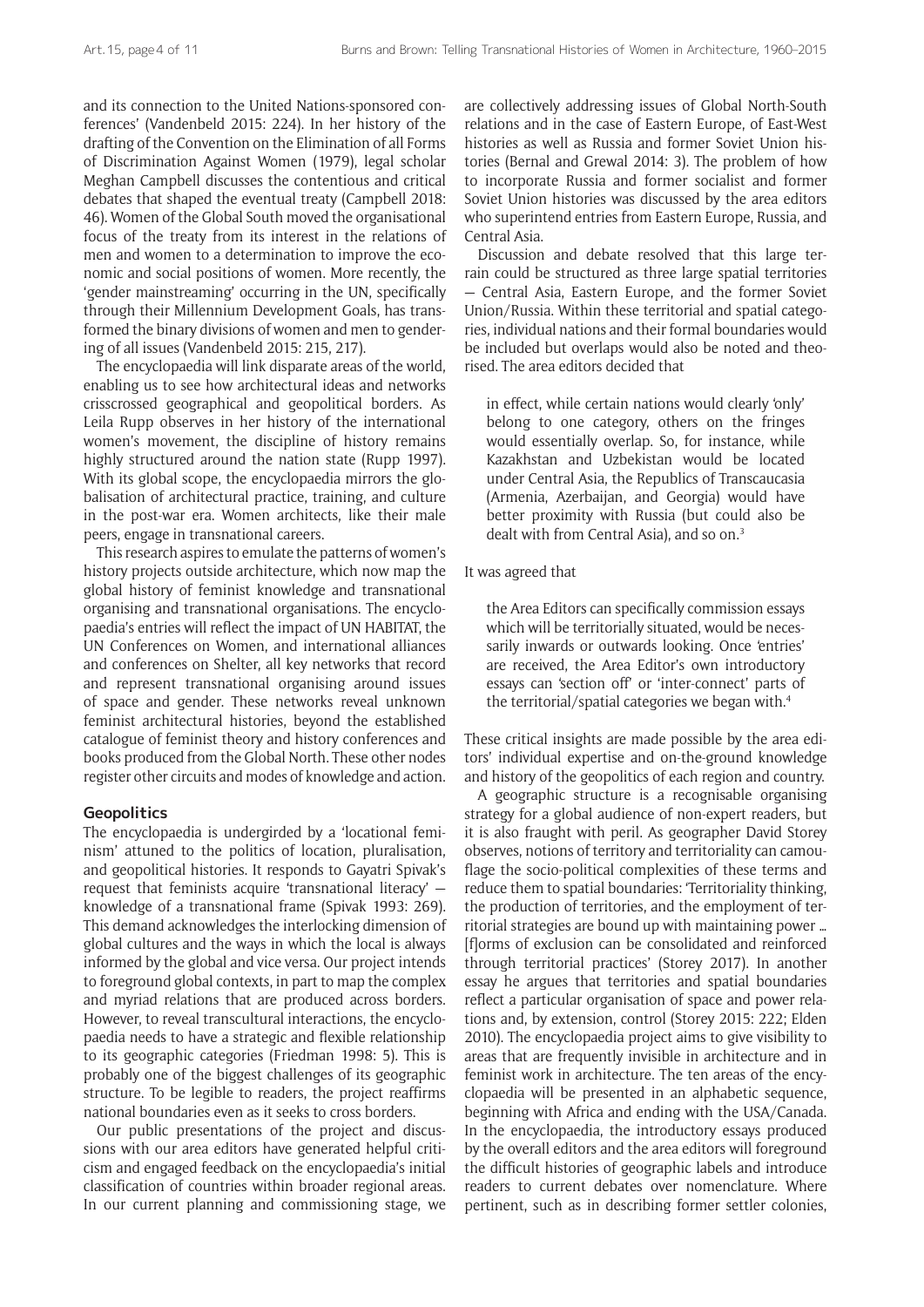and its connection to the United Nations-sponsored conferences' (Vandenbeld 2015: 224). In her history of the drafting of the Convention on the Elimination of all Forms of Discrimination Against Women (1979), legal scholar Meghan Campbell discusses the contentious and critical debates that shaped the eventual treaty (Campbell 2018: 46). Women of the Global South moved the organisational focus of the treaty from its interest in the relations of men and women to a determination to improve the economic and social positions of women. More recently, the 'gender mainstreaming' occurring in the UN, specifically through their Millennium Development Goals, has transformed the binary divisions of women and men to gendering of all issues (Vandenbeld 2015: 215, 217).

The encyclopaedia will link disparate areas of the world, enabling us to see how architectural ideas and networks crisscrossed geographical and geopolitical borders. As Leila Rupp observes in her history of the international women's movement, the discipline of history remains highly structured around the nation state (Rupp 1997). With its global scope, the encyclopaedia mirrors the globalisation of architectural practice, training, and culture in the post-war era. Women architects, like their male peers, engage in transnational careers.

This research aspires to emulate the patterns of women's history projects outside architecture, which now map the global history of feminist knowledge and transnational organising and transnational organisations. The encyclopaedia's entries will reflect the impact of UN HABITAT, the UN Conferences on Women, and international alliances and conferences on Shelter, all key networks that record and represent transnational organising around issues of space and gender. These networks reveal unknown feminist architectural histories, beyond the established catalogue of feminist theory and history conferences and books produced from the Global North. These other nodes register other circuits and modes of knowledge and action.

#### **Geopolitics**

The encyclopaedia is undergirded by a 'locational feminism' attuned to the politics of location, pluralisation, and geopolitical histories. It responds to Gayatri Spivak's request that feminists acquire 'transnational literacy' knowledge of a transnational frame (Spivak 1993: 269). This demand acknowledges the interlocking dimension of global cultures and the ways in which the local is always informed by the global and vice versa. Our project intends to foreground global contexts, in part to map the complex and myriad relations that are produced across borders. However, to reveal transcultural interactions, the encyclopaedia needs to have a strategic and flexible relationship to its geographic categories (Friedman 1998: 5). This is probably one of the biggest challenges of its geographic structure. To be legible to readers, the project reaffirms national boundaries even as it seeks to cross borders.

Our public presentations of the project and discussions with our area editors have generated helpful criticism and engaged feedback on the encyclopaedia's initial classification of countries within broader regional areas. In our current planning and commissioning stage, we

are collectively addressing issues of Global North-South relations and in the case of Eastern Europe, of East-West histories as well as Russia and former Soviet Union histories (Bernal and Grewal 2014: 3). The problem of how to incorporate Russia and former socialist and former Soviet Union histories was discussed by the area editors who superintend entries from Eastern Europe, Russia, and Central Asia.

Discussion and debate resolved that this large terrain could be structured as three large spatial territories — Central Asia, Eastern Europe, and the former Soviet Union/Russia. Within these territorial and spatial categories, individual nations and their formal boundaries would be included but overlaps would also be noted and theorised. The area editors decided that

in effect, while certain nations would clearly 'only' belong to one category, others on the fringes would essentially overlap. So, for instance, while Kazakhstan and Uzbekistan would be located under Central Asia, the Republics of Transcaucasia (Armenia, Azerbaijan, and Georgia) would have better proximity with Russia (but could also be dealt with from Central Asia), and so on.<sup>3</sup>

#### It was agreed that

the Area Editors can specifically commission essays which will be territorially situated, would be necessarily inwards or outwards looking. Once 'entries' are received, the Area Editor's own introductory essays can 'section off' or 'inter-connect' parts of the territorial/spatial categories we began with.4

These critical insights are made possible by the area editors' individual expertise and on-the-ground knowledge and history of the geopolitics of each region and country.

A geographic structure is a recognisable organising strategy for a global audience of non-expert readers, but it is also fraught with peril. As geographer David Storey observes, notions of territory and territoriality can camouflage the socio-political complexities of these terms and reduce them to spatial boundaries: 'Territoriality thinking, the production of territories, and the employment of territorial strategies are bound up with maintaining power … [f]orms of exclusion can be consolidated and reinforced through territorial practices' (Storey 2017). In another essay he argues that territories and spatial boundaries reflect a particular organisation of space and power relations and, by extension, control (Storey 2015: 222; Elden 2010). The encyclopaedia project aims to give visibility to areas that are frequently invisible in architecture and in feminist work in architecture. The ten areas of the encyclopaedia will be presented in an alphabetic sequence, beginning with Africa and ending with the USA/Canada. In the encyclopaedia, the introductory essays produced by the overall editors and the area editors will foreground the difficult histories of geographic labels and introduce readers to current debates over nomenclature. Where pertinent, such as in describing former settler colonies,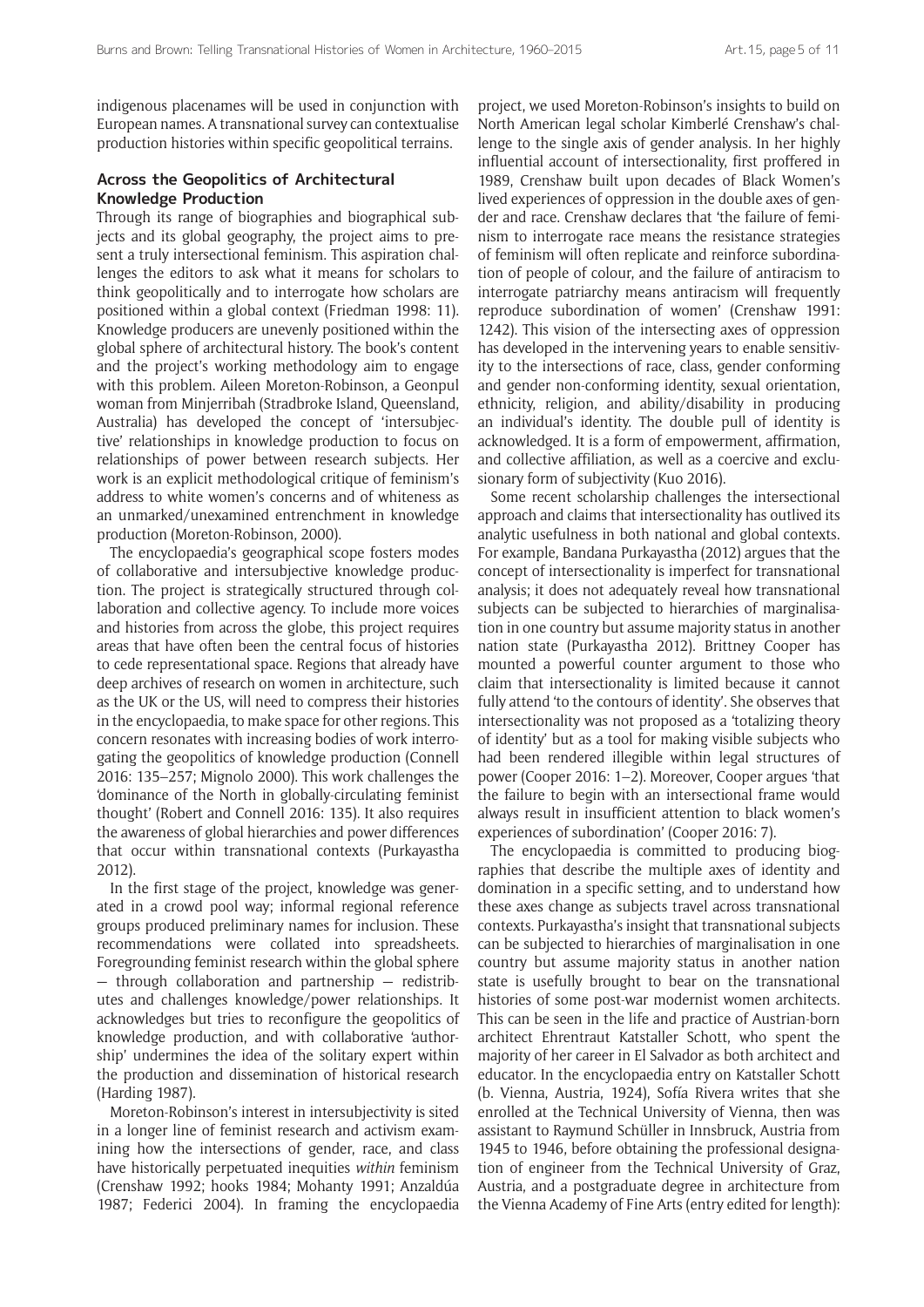indigenous placenames will be used in conjunction with European names. A transnational survey can contextualise production histories within specific geopolitical terrains.

## **Across the Geopolitics of Architectural Knowledge Production**

Through its range of biographies and biographical subjects and its global geography, the project aims to present a truly intersectional feminism. This aspiration challenges the editors to ask what it means for scholars to think geopolitically and to interrogate how scholars are positioned within a global context (Friedman 1998: 11). Knowledge producers are unevenly positioned within the global sphere of architectural history. The book's content and the project's working methodology aim to engage with this problem. Aileen Moreton-Robinson, a Geonpul woman from Minjerribah (Stradbroke Island, Queensland, Australia) has developed the concept of 'intersubjective' relationships in knowledge production to focus on relationships of power between research subjects. Her work is an explicit methodological critique of feminism's address to white women's concerns and of whiteness as an unmarked/unexamined entrenchment in knowledge production (Moreton-Robinson, 2000).

The encyclopaedia's geographical scope fosters modes of collaborative and intersubjective knowledge production. The project is strategically structured through collaboration and collective agency. To include more voices and histories from across the globe, this project requires areas that have often been the central focus of histories to cede representational space. Regions that already have deep archives of research on women in architecture, such as the UK or the US, will need to compress their histories in the encyclopaedia, to make space for other regions. This concern resonates with increasing bodies of work interrogating the geopolitics of knowledge production (Connell 2016: 135–257; Mignolo 2000). This work challenges the 'dominance of the North in globally-circulating feminist thought' (Robert and Connell 2016: 135). It also requires the awareness of global hierarchies and power differences that occur within transnational contexts (Purkayastha 2012).

In the first stage of the project, knowledge was generated in a crowd pool way; informal regional reference groups produced preliminary names for inclusion. These recommendations were collated into spreadsheets. Foregrounding feminist research within the global sphere  $-$  through collaboration and partnership  $-$  redistributes and challenges knowledge/power relationships. It acknowledges but tries to reconfigure the geopolitics of knowledge production, and with collaborative 'authorship' undermines the idea of the solitary expert within the production and dissemination of historical research (Harding 1987).

Moreton-Robinson's interest in intersubjectivity is sited in a longer line of feminist research and activism examining how the intersections of gender, race, and class have historically perpetuated inequities *within* feminism (Crenshaw 1992; hooks 1984; Mohanty 1991; Anzaldúa 1987; Federici 2004). In framing the encyclopaedia project, we used Moreton-Robinson's insights to build on North American legal scholar Kimberlé Crenshaw's challenge to the single axis of gender analysis. In her highly influential account of intersectionality, first proffered in 1989, Crenshaw built upon decades of Black Women's lived experiences of oppression in the double axes of gender and race. Crenshaw declares that 'the failure of feminism to interrogate race means the resistance strategies of feminism will often replicate and reinforce subordination of people of colour, and the failure of antiracism to interrogate patriarchy means antiracism will frequently reproduce subordination of women' (Crenshaw 1991: 1242). This vision of the intersecting axes of oppression has developed in the intervening years to enable sensitivity to the intersections of race, class, gender conforming and gender non-conforming identity, sexual orientation, ethnicity, religion, and ability/disability in producing an individual's identity. The double pull of identity is acknowledged. It is a form of empowerment, affirmation, and collective affiliation, as well as a coercive and exclusionary form of subjectivity (Kuo 2016).

Some recent scholarship challenges the intersectional approach and claims that intersectionality has outlived its analytic usefulness in both national and global contexts. For example, Bandana Purkayastha (2012) argues that the concept of intersectionality is imperfect for transnational analysis; it does not adequately reveal how transnational subjects can be subjected to hierarchies of marginalisation in one country but assume majority status in another nation state (Purkayastha 2012). Brittney Cooper has mounted a powerful counter argument to those who claim that intersectionality is limited because it cannot fully attend 'to the contours of identity'. She observes that intersectionality was not proposed as a 'totalizing theory of identity' but as a tool for making visible subjects who had been rendered illegible within legal structures of power (Cooper 2016: 1–2). Moreover, Cooper argues 'that the failure to begin with an intersectional frame would always result in insufficient attention to black women's experiences of subordination' (Cooper 2016: 7).

The encyclopaedia is committed to producing biographies that describe the multiple axes of identity and domination in a specific setting, and to understand how these axes change as subjects travel across transnational contexts. Purkayastha's insight that transnational subjects can be subjected to hierarchies of marginalisation in one country but assume majority status in another nation state is usefully brought to bear on the transnational histories of some post-war modernist women architects. This can be seen in the life and practice of Austrian-born architect Ehrentraut Katstaller Schott, who spent the majority of her career in El Salvador as both architect and educator. In the encyclopaedia entry on Katstaller Schott (b. Vienna, Austria, 1924), Sofía Rivera writes that she enrolled at the Technical University of Vienna, then was assistant to Raymund Schüller in Innsbruck, Austria from 1945 to 1946, before obtaining the professional designation of engineer from the Technical University of Graz, Austria, and a postgraduate degree in architecture from the Vienna Academy of Fine Arts (entry edited for length):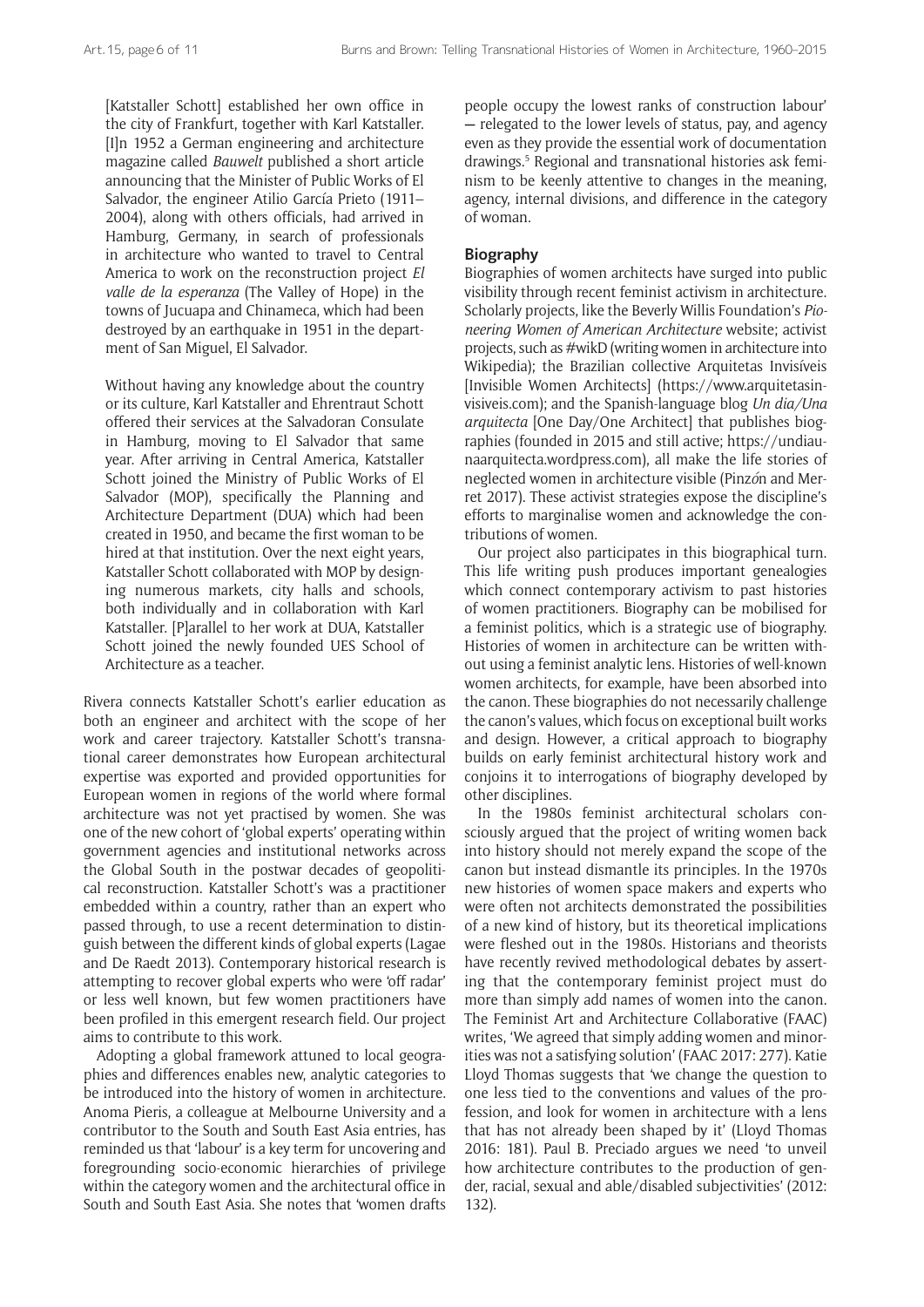[Katstaller Schott] established her own office in the city of Frankfurt, together with Karl Katstaller. [I]n 1952 a German engineering and architecture magazine called *Bauwelt* published a short article announcing that the Minister of Public Works of El Salvador, the engineer Atilio García Prieto (1911– 2004), along with others officials, had arrived in Hamburg, Germany, in search of professionals in architecture who wanted to travel to Central America to work on the reconstruction project *El valle de la esperanza* (The Valley of Hope) in the towns of Jucuapa and Chinameca, which had been destroyed by an earthquake in 1951 in the department of San Miguel, El Salvador.

Without having any knowledge about the country or its culture, Karl Katstaller and Ehrentraut Schott offered their services at the Salvadoran Consulate in Hamburg, moving to El Salvador that same year. After arriving in Central America, Katstaller Schott joined the Ministry of Public Works of El Salvador (MOP), specifically the Planning and Architecture Department (DUA) which had been created in 1950, and became the first woman to be hired at that institution. Over the next eight years, Katstaller Schott collaborated with MOP by designing numerous markets, city halls and schools, both individually and in collaboration with Karl Katstaller. [P]arallel to her work at DUA, Katstaller Schott joined the newly founded UES School of Architecture as a teacher.

Rivera connects Katstaller Schott's earlier education as both an engineer and architect with the scope of her work and career trajectory. Katstaller Schott's transnational career demonstrates how European architectural expertise was exported and provided opportunities for European women in regions of the world where formal architecture was not yet practised by women. She was one of the new cohort of 'global experts' operating within government agencies and institutional networks across the Global South in the postwar decades of geopolitical reconstruction. Katstaller Schott's was a practitioner embedded within a country, rather than an expert who passed through, to use a recent determination to distinguish between the different kinds of global experts (Lagae and De Raedt 2013). Contemporary historical research is attempting to recover global experts who were 'off radar' or less well known, but few women practitioners have been profiled in this emergent research field. Our project aims to contribute to this work.

Adopting a global framework attuned to local geographies and differences enables new, analytic categories to be introduced into the history of women in architecture. Anoma Pieris, a colleague at Melbourne University and a contributor to the South and South East Asia entries, has reminded us that 'labour' is a key term for uncovering and foregrounding socio-economic hierarchies of privilege within the category women and the architectural office in South and South East Asia. She notes that 'women drafts people occupy the lowest ranks of construction labour' **—** relegated to the lower levels of status, pay, and agency even as they provide the essential work of documentation drawings.<sup>5</sup> Regional and transnational histories ask feminism to be keenly attentive to changes in the meaning, agency, internal divisions, and difference in the category of woman.

## **Biography**

Biographies of women architects have surged into public visibility through recent feminist activism in architecture. Scholarly projects, like the Beverly Willis Foundation's *Pioneering Women of American Architecture* website; activist projects, such as #wikD (writing women in architecture into Wikipedia); the Brazilian collective Arquitetas Invisíveis [Invisible Women Architects] ([https://www.arquitetasin](https://www.arquitetasinvisiveis.com)[visiveis.com](https://www.arquitetasinvisiveis.com)); and the Spanish-language blog *Un dia/Una arquitecta* [One Day/One Architect] that publishes biographies (founded in 2015 and still active; [https://undiau](https://undiaunaarquitecta.wordpress.com)[naarquitecta.wordpress.com\)](https://undiaunaarquitecta.wordpress.com), all make the life stories of neglected women in architecture visible (Pinz*ó*n and Merret 2017). These activist strategies expose the discipline's efforts to marginalise women and acknowledge the contributions of women.

Our project also participates in this biographical turn. This life writing push produces important genealogies which connect contemporary activism to past histories of women practitioners. Biography can be mobilised for a feminist politics, which is a strategic use of biography. Histories of women in architecture can be written without using a feminist analytic lens. Histories of well-known women architects, for example, have been absorbed into the canon. These biographies do not necessarily challenge the canon's values, which focus on exceptional built works and design. However, a critical approach to biography builds on early feminist architectural history work and conjoins it to interrogations of biography developed by other disciplines.

In the 1980s feminist architectural scholars consciously argued that the project of writing women back into history should not merely expand the scope of the canon but instead dismantle its principles. In the 1970s new histories of women space makers and experts who were often not architects demonstrated the possibilities of a new kind of history, but its theoretical implications were fleshed out in the 1980s. Historians and theorists have recently revived methodological debates by asserting that the contemporary feminist project must do more than simply add names of women into the canon. The Feminist Art and Architecture Collaborative (FAAC) writes, 'We agreed that simply adding women and minorities was not a satisfying solution' (FAAC 2017: 277). Katie Lloyd Thomas suggests that 'we change the question to one less tied to the conventions and values of the profession, and look for women in architecture with a lens that has not already been shaped by it' (Lloyd Thomas 2016: 181). Paul B. Preciado argues we need 'to unveil how architecture contributes to the production of gender, racial, sexual and able/disabled subjectivities' (2012: 132).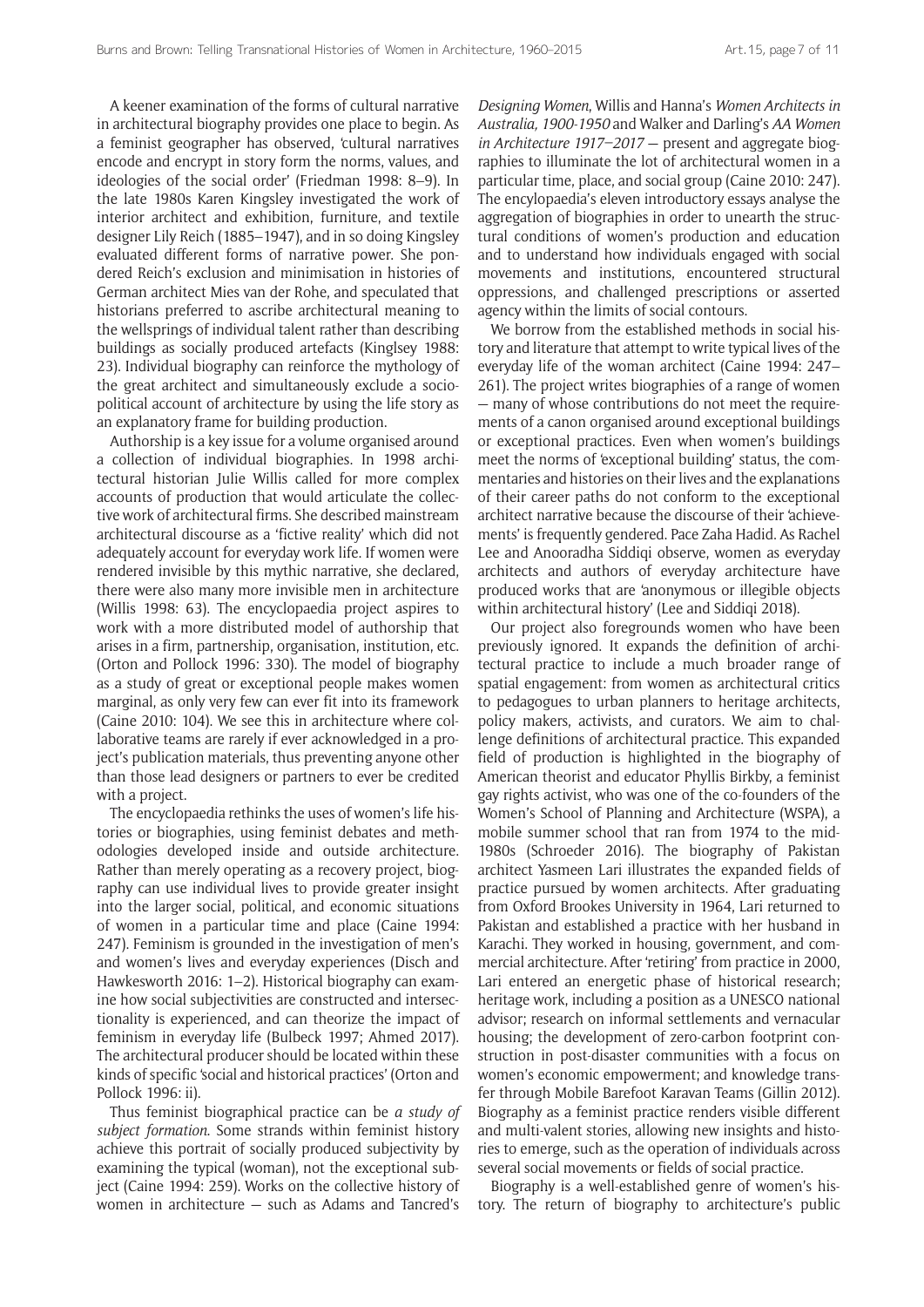A keener examination of the forms of cultural narrative in architectural biography provides one place to begin. As a feminist geographer has observed, 'cultural narratives encode and encrypt in story form the norms, values, and ideologies of the social order' (Friedman 1998: 8–9). In the late 1980s Karen Kingsley investigated the work of interior architect and exhibition, furniture, and textile designer Lily Reich (1885–1947), and in so doing Kingsley evaluated different forms of narrative power. She pondered Reich's exclusion and minimisation in histories of German architect Mies van der Rohe, and speculated that historians preferred to ascribe architectural meaning to the wellsprings of individual talent rather than describing buildings as socially produced artefacts (Kinglsey 1988: 23). Individual biography can reinforce the mythology of the great architect and simultaneously exclude a sociopolitical account of architecture by using the life story as an explanatory frame for building production.

Authorship is a key issue for a volume organised around a collection of individual biographies. In 1998 architectural historian Julie Willis called for more complex accounts of production that would articulate the collective work of architectural firms. She described mainstream architectural discourse as a 'fictive reality' which did not adequately account for everyday work life. If women were rendered invisible by this mythic narrative, she declared, there were also many more invisible men in architecture (Willis 1998: 63). The encyclopaedia project aspires to work with a more distributed model of authorship that arises in a firm, partnership, organisation, institution, etc. (Orton and Pollock 1996: 330). The model of biography as a study of great or exceptional people makes women marginal, as only very few can ever fit into its framework (Caine 2010: 104). We see this in architecture where collaborative teams are rarely if ever acknowledged in a project's publication materials, thus preventing anyone other than those lead designers or partners to ever be credited with a project.

The encyclopaedia rethinks the uses of women's life histories or biographies, using feminist debates and methodologies developed inside and outside architecture. Rather than merely operating as a recovery project, biography can use individual lives to provide greater insight into the larger social, political, and economic situations of women in a particular time and place (Caine 1994: 247). Feminism is grounded in the investigation of men's and women's lives and everyday experiences (Disch and Hawkesworth 2016: 1–2). Historical biography can examine how social subjectivities are constructed and intersectionality is experienced, and can theorize the impact of feminism in everyday life (Bulbeck 1997; Ahmed 2017). The architectural producer should be located within these kinds of specific 'social and historical practices' (Orton and Pollock 1996: ii).

Thus feminist biographical practice can be *a study of subject formation*. Some strands within feminist history achieve this portrait of socially produced subjectivity by examining the typical (woman), not the exceptional subject (Caine 1994: 259). Works on the collective history of women in architecture — such as Adams and Tancred's *Designing Women*, Willis and Hanna's *Women Architects in Australia, 1900-1950* and Walker and Darling's *AA Women in Architecture 1917–2017* — present and aggregate biographies to illuminate the lot of architectural women in a particular time, place, and social group (Caine 2010: 247). The encylopaedia's eleven introductory essays analyse the aggregation of biographies in order to unearth the structural conditions of women's production and education and to understand how individuals engaged with social movements and institutions, encountered structural oppressions, and challenged prescriptions or asserted agency within the limits of social contours.

We borrow from the established methods in social history and literature that attempt to write typical lives of the everyday life of the woman architect (Caine 1994: 247– 261). The project writes biographies of a range of women — many of whose contributions do not meet the requirements of a canon organised around exceptional buildings or exceptional practices. Even when women's buildings meet the norms of 'exceptional building' status, the commentaries and histories on their lives and the explanations of their career paths do not conform to the exceptional architect narrative because the discourse of their 'achievements' is frequently gendered. Pace Zaha Hadid. As Rachel Lee and Anooradha Siddiqi observe, women as everyday architects and authors of everyday architecture have produced works that are 'anonymous or illegible objects within architectural history' (Lee and Siddiqi 2018).

Our project also foregrounds women who have been previously ignored. It expands the definition of architectural practice to include a much broader range of spatial engagement: from women as architectural critics to pedagogues to urban planners to heritage architects, policy makers, activists, and curators. We aim to challenge definitions of architectural practice. This expanded field of production is highlighted in the biography of American theorist and educator Phyllis Birkby, a feminist gay rights activist, who was one of the co-founders of the Women's School of Planning and Architecture (WSPA), a mobile summer school that ran from 1974 to the mid-1980s (Schroeder 2016). The biography of Pakistan architect Yasmeen Lari illustrates the expanded fields of practice pursued by women architects. After graduating from Oxford Brookes University in 1964, Lari returned to Pakistan and established a practice with her husband in Karachi. They worked in housing, government, and commercial architecture. After 'retiring' from practice in 2000, Lari entered an energetic phase of historical research; heritage work, including a position as a UNESCO national advisor; research on informal settlements and vernacular housing; the development of zero-carbon footprint construction in post-disaster communities with a focus on women's economic empowerment; and knowledge transfer through Mobile Barefoot Karavan Teams (Gillin 2012). Biography as a feminist practice renders visible different and multi-valent stories, allowing new insights and histories to emerge, such as the operation of individuals across several social movements or fields of social practice.

Biography is a well-established genre of women's history. The return of biography to architecture's public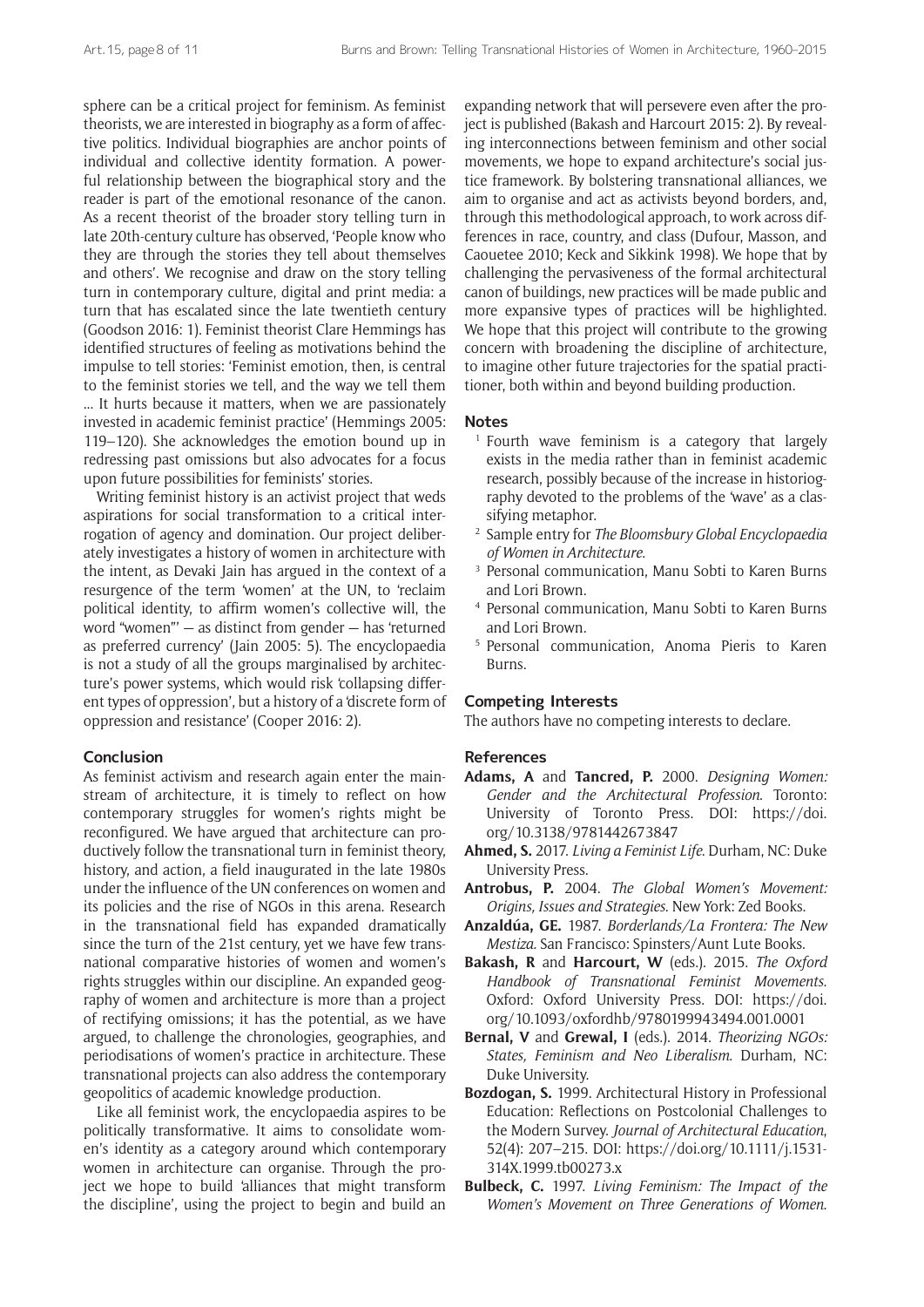sphere can be a critical project for feminism. As feminist theorists, we are interested in biography as a form of affective politics. Individual biographies are anchor points of individual and collective identity formation. A powerful relationship between the biographical story and the reader is part of the emotional resonance of the canon. As a recent theorist of the broader story telling turn in late 20th-century culture has observed, 'People know who they are through the stories they tell about themselves and others'. We recognise and draw on the story telling turn in contemporary culture, digital and print media: a turn that has escalated since the late twentieth century (Goodson 2016: 1). Feminist theorist Clare Hemmings has identified structures of feeling as motivations behind the impulse to tell stories: 'Feminist emotion, then, is central to the feminist stories we tell, and the way we tell them ... It hurts because it matters, when we are passionately invested in academic feminist practice' (Hemmings 2005: 119–120). She acknowledges the emotion bound up in redressing past omissions but also advocates for a focus upon future possibilities for feminists' stories.

Writing feminist history is an activist project that weds aspirations for social transformation to a critical interrogation of agency and domination. Our project deliberately investigates a history of women in architecture with the intent, as Devaki Jain has argued in the context of a resurgence of the term 'women' at the UN, to 'reclaim political identity, to affirm women's collective will, the word "women"' — as distinct from gender — has 'returned as preferred currency' (Jain 2005: 5). The encyclopaedia is not a study of all the groups marginalised by architecture's power systems, which would risk 'collapsing different types of oppression', but a history of a 'discrete form of oppression and resistance' (Cooper 2016: 2).

#### **Conclusion**

As feminist activism and research again enter the mainstream of architecture, it is timely to reflect on how contemporary struggles for women's rights might be reconfigured. We have argued that architecture can productively follow the transnational turn in feminist theory, history, and action, a field inaugurated in the late 1980s under the influence of the UN conferences on women and its policies and the rise of NGOs in this arena. Research in the transnational field has expanded dramatically since the turn of the 21st century, yet we have few transnational comparative histories of women and women's rights struggles within our discipline. An expanded geography of women and architecture is more than a project of rectifying omissions; it has the potential, as we have argued, to challenge the chronologies, geographies, and periodisations of women's practice in architecture. These transnational projects can also address the contemporary geopolitics of academic knowledge production.

Like all feminist work, the encyclopaedia aspires to be politically transformative. It aims to consolidate women's identity as a category around which contemporary women in architecture can organise. Through the project we hope to build 'alliances that might transform the discipline', using the project to begin and build an

expanding network that will persevere even after the project is published (Bakash and Harcourt 2015: 2). By revealing interconnections between feminism and other social movements, we hope to expand architecture's social justice framework. By bolstering transnational alliances, we aim to organise and act as activists beyond borders, and, through this methodological approach, to work across differences in race, country, and class (Dufour, Masson, and Caouetee 2010; Keck and Sikkink 1998). We hope that by challenging the pervasiveness of the formal architectural canon of buildings, new practices will be made public and more expansive types of practices will be highlighted. We hope that this project will contribute to the growing concern with broadening the discipline of architecture, to imagine other future trajectories for the spatial practitioner, both within and beyond building production.

#### **Notes**

- <sup>1</sup> Fourth wave feminism is a category that largely exists in the media rather than in feminist academic research, possibly because of the increase in historiography devoted to the problems of the 'wave' as a classifying metaphor.
- <sup>2</sup> Sample entry for *The Bloomsbury Global Encyclopaedia of Women in Architecture*.
- <sup>3</sup> Personal communication, Manu Sobti to Karen Burns and Lori Brown.
- <sup>4</sup> Personal communication, Manu Sobti to Karen Burns and Lori Brown.
- <sup>5</sup> Personal communication, Anoma Pieris to Karen Burns.

## **Competing Interests**

The authors have no competing interests to declare.

#### **References**

- **Adams, A** and **Tancred, P.** 2000. *Designing Women: Gender and the Architectural Profession*. Toronto: University of Toronto Press. DOI: [https://doi.](https://doi.org/10.3138/9781442673847) [org/10.3138/9781442673847](https://doi.org/10.3138/9781442673847)
- **Ahmed, S.** 2017. *Living a Feminist Life*. Durham, NC: Duke University Press.
- **Antrobus, P.** 2004. *The Global Women's Movement: Origins, Issues and Strategies*. New York: Zed Books.
- **Anzaldúa, GE.** 1987. *Borderlands/La Frontera: The New Mestiza.* San Francisco: Spinsters/Aunt Lute Books.
- **Bakash, R** and **Harcourt, W** (eds.). 2015. *The Oxford Handbook of Transnational Feminist Movements*. Oxford: Oxford University Press. DOI: [https://doi.](https://doi.org/10.1093/oxfordhb/9780199943494.001.0001) [org/10.1093/oxfordhb/9780199943494.001.0001](https://doi.org/10.1093/oxfordhb/9780199943494.001.0001)
- **Bernal, V** and **Grewal, I** (eds.). 2014. *Theorizing NGOs: States, Feminism and Neo Liberalism*. Durham, NC: Duke University.
- **Bozdogan, S.** 1999. Architectural History in Professional Education: Reflections on Postcolonial Challenges to the Modern Survey. *Journal of Architectural Education*, 52(4): 207–215. DOI: [https://doi.org/10.1111/j.1531-](https://doi.org/10.1111/j.1531-314X.1999.tb00273.x) [314X.1999.tb00273.x](https://doi.org/10.1111/j.1531-314X.1999.tb00273.x)
- **Bulbeck, C.** 1997. *Living Feminism: The Impact of the Women's Movement on Three Generations of Women*.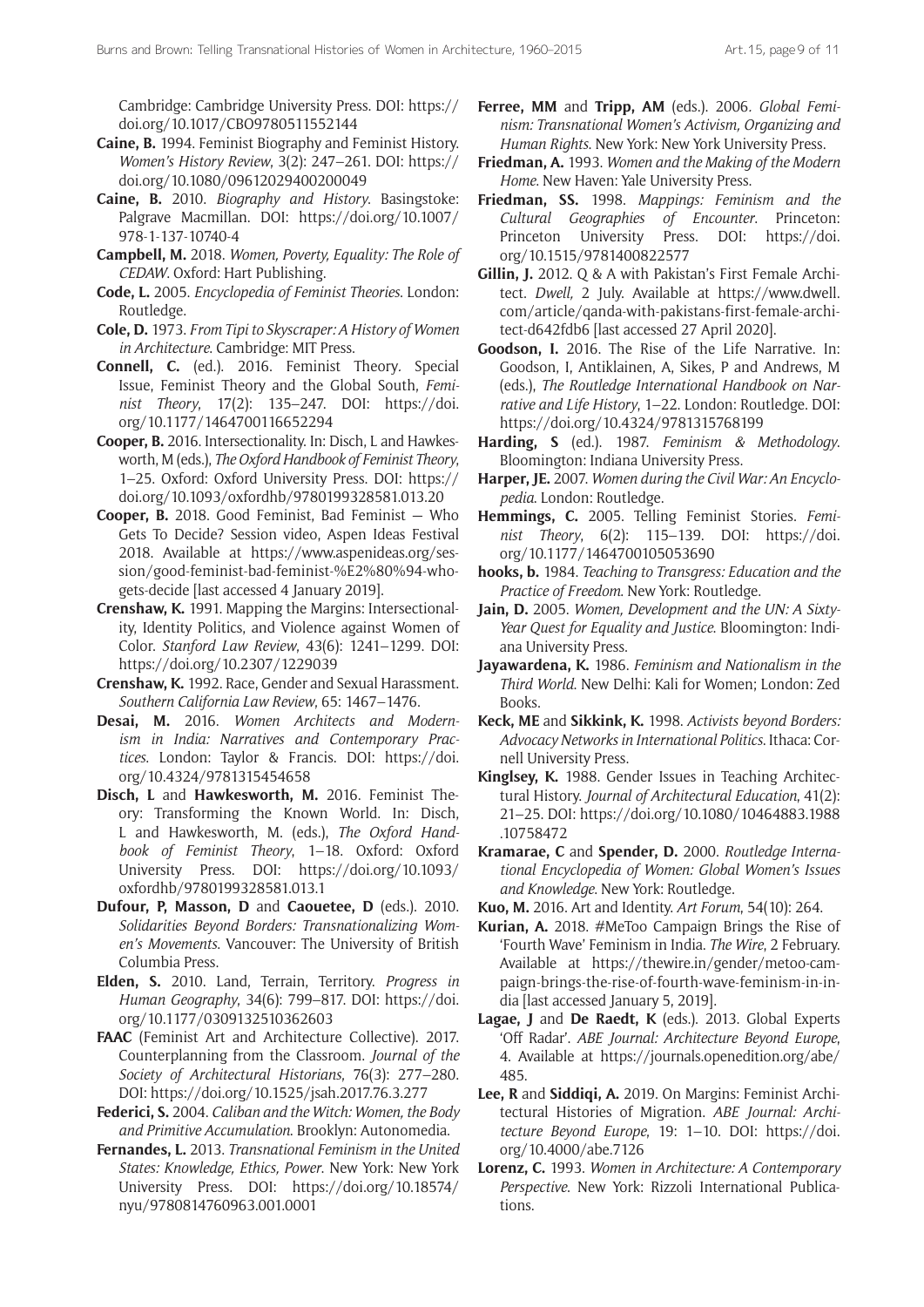Cambridge: Cambridge University Press. DOI: [https://](https://doi.org/10.1017/CBO9780511552144) [doi.org/10.1017/CBO9780511552144](https://doi.org/10.1017/CBO9780511552144)

- **Caine, B.** 1994. Feminist Biography and Feminist History. *Women's History Review*, 3(2): 247–261. DOI: [https://](https://doi.org/10.1080/09612029400200049) [doi.org/10.1080/09612029400200049](https://doi.org/10.1080/09612029400200049)
- **Caine, B.** 2010. *Biography and History*. Basingstoke: Palgrave Macmillan. DOI: [https://doi.org/10.1007/](https://doi.org/10.1007/978-1-137-10740-4) [978-1-137-10740-4](https://doi.org/10.1007/978-1-137-10740-4)
- **Campbell, M.** 2018. *Women, Poverty, Equality: The Role of CEDAW*. Oxford: Hart Publishing.
- **Code, L.** 2005. *Encyclopedia of Feminist Theories*. London: Routledge.
- **Cole, D.** 1973. *From Tipi to Skyscraper: A History of Women in Architecture*. Cambridge: MIT Press.
- **Connell, C.** (ed.). 2016. Feminist Theory*.* Special Issue, Feminist Theory and the Global South, *Feminist Theory*, 17(2): 135–247. DOI: [https://doi.](https://doi.org/10.1177/1464700116652294) [org/10.1177/1464700116652294](https://doi.org/10.1177/1464700116652294)
- **Cooper, B.** 2016. Intersectionality. In: Disch, L and Hawkesworth, M (eds.), *The Oxford Handbook of Feminist Theory*, 1–25. Oxford: Oxford University Press. DOI: [https://](https://doi.org/10.1093/oxfordhb/9780199328581.013.20) [doi.org/10.1093/oxfordhb/9780199328581.013.20](https://doi.org/10.1093/oxfordhb/9780199328581.013.20)
- **Cooper, B.** 2018. Good Feminist, Bad Feminist Who Gets To Decide? Session video, Aspen Ideas Festival 2018. Available at [https://www.aspenideas.org/ses](https://www.aspenideas.org/session/good-feminist-bad-feminist-%E2%80%94-who-gets-decide)[sion/good-feminist-bad-feminist-%E2%80%94-who](https://www.aspenideas.org/session/good-feminist-bad-feminist-%E2%80%94-who-gets-decide)[gets-decide](https://www.aspenideas.org/session/good-feminist-bad-feminist-%E2%80%94-who-gets-decide) [last accessed 4 January 2019].
- **Crenshaw, K.** 1991. Mapping the Margins: Intersectionality, Identity Politics, and Violence against Women of Color. *Stanford Law Review*, 43(6): 1241–1299. DOI: <https://doi.org/10.2307/1229039>
- **Crenshaw, K.** 1992. Race, Gender and Sexual Harassment. *Southern California Law Review*, 65: 1467–1476.
- **Desai, M.** 2016. *Women Architects and Modernism in India: Narratives and Contemporary Practices*. London: Taylor & Francis. DOI: [https://doi.](https://doi.org/10.4324/9781315454658) [org/10.4324/9781315454658](https://doi.org/10.4324/9781315454658)
- **Disch, L** and **Hawkesworth, M.** 2016. Feminist Theory: Transforming the Known World. In: Disch, L and Hawkesworth, M. (eds.), *The Oxford Handbook of Feminist Theory*, 1–18. Oxford: Oxford University Press. DOI: [https://doi.org/10.1093/](https://doi.org/10.1093/oxfordhb/9780199328581.013.1) [oxfordhb/9780199328581.013.1](https://doi.org/10.1093/oxfordhb/9780199328581.013.1)
- **Dufour, P, Masson, D** and **Caouetee, D** (eds.). 2010. *Solidarities Beyond Borders: Transnationalizing Women's Movements*. Vancouver: The University of British Columbia Press.
- **Elden, S.** 2010. Land, Terrain, Territory. *Progress in Human Geography*, 34(6): 799–817. DOI: [https://doi.](https://doi.org/10.1177/0309132510362603) [org/10.1177/0309132510362603](https://doi.org/10.1177/0309132510362603)
- **FAAC** (Feminist Art and Architecture Collective). 2017. Counterplanning from the Classroom. *Journal of the Society of Architectural Historians*, 76(3): 277–280. DOI:<https://doi.org/10.1525/jsah.2017.76.3.277>
- **Federici, S.** 2004. *Caliban and the Witch: Women, the Body and Primitive Accumulation*. Brooklyn: Autonomedia.
- **Fernandes, L.** 2013. *Transnational Feminism in the United States: Knowledge, Ethics, Power*. New York: New York University Press. DOI: [https://doi.org/10.18574/](https://doi.org/10.18574/nyu/9780814760963.001.0001) [nyu/9780814760963.001.0001](https://doi.org/10.18574/nyu/9780814760963.001.0001)
- **Ferree, MM** and **Tripp, AM** (eds.). 2006*. Global Feminism: Transnational Women's Activism, Organizing and Human Rights*. New York: New York University Press.
- **Friedman, A.** 1993. *Women and the Making of the Modern Home*. New Haven: Yale University Press.
- **Friedman, SS.** 1998. *Mappings: Feminism and the Cultural Geographies of Encounter*. Princeton: Princeton University Press. DOI: [https://doi.](https://doi.org/10.1515/9781400822577) [org/10.1515/9781400822577](https://doi.org/10.1515/9781400822577)
- **Gillin, J.** 2012. Q & A with Pakistan's First Female Architect. *Dwell,* 2 July. Available at [https://www.dwell.](https://www.dwell.com/article/qanda-with-pakistans-first-female-architect-d642fdb6) [com/article/qanda-with-pakistans-first-female-archi](https://www.dwell.com/article/qanda-with-pakistans-first-female-architect-d642fdb6)[tect-d642fdb6](https://www.dwell.com/article/qanda-with-pakistans-first-female-architect-d642fdb6) [last accessed 27 April 2020].
- **Goodson, I.** 2016. The Rise of the Life Narrative. In: Goodson, I, Antiklainen, A, Sikes, P and Andrews, M (eds.), *The Routledge International Handbook on Narrative and Life History*, 1–22. London: Routledge. DOI: <https://doi.org/10.4324/9781315768199>
- **Harding, S** (ed.). 1987. *Feminism & Methodology*. Bloomington: Indiana University Press.
- **Harper, JE.** 2007. *Women during the Civil War: An Encyclopedia*. London: Routledge.
- **Hemmings, C.** 2005. Telling Feminist Stories. *Feminist Theory*, 6(2): 115–139. DOI: [https://doi.](https://doi.org/10.1177/1464700105053690) [org/10.1177/1464700105053690](https://doi.org/10.1177/1464700105053690)
- **hooks, b.** 1984. *Teaching to Transgress: Education and the Practice of Freedom*. New York: Routledge.
- **Jain, D.** 2005. *Women, Development and the UN: A Sixty-Year Quest for Equality and Justice*. Bloomington: Indiana University Press.
- **Jayawardena, K.** 1986. *Feminism and Nationalism in the Third World*. New Delhi: Kali for Women; London: Zed Books.
- **Keck, ME** and **Sikkink, K.** 1998. *Activists beyond Borders: Advocacy Networks in International Politics*. Ithaca: Cornell University Press.
- **Kinglsey, K.** 1988. Gender Issues in Teaching Architectural History. *Journal of Architectural Education*, 41(2): 21–25. DOI: [https://doi.org/10.1080/10464883.1988](https://doi.org/10.1080/10464883.1988.10758472) [.10758472](https://doi.org/10.1080/10464883.1988.10758472)
- **Kramarae, C** and **Spender, D.** 2000. *Routledge International Encyclopedia of Women: Global Women's Issues and Knowledge*. New York: Routledge.
- **Kuo, M.** 2016. Art and Identity. *Art Forum*, 54(10): 264.
- **Kurian, A.** 2018. #MeToo Campaign Brings the Rise of 'Fourth Wave' Feminism in India. *The Wire*, 2 February. Available at [https://thewire.in/gender/metoo-cam](https://thewire.in/gender/metoo-campaign-brings-the-rise-of-fourth-wave-feminism-in-india)[paign-brings-the-rise-of-fourth-wave-feminism-in-in](https://thewire.in/gender/metoo-campaign-brings-the-rise-of-fourth-wave-feminism-in-india)[dia](https://thewire.in/gender/metoo-campaign-brings-the-rise-of-fourth-wave-feminism-in-india) [last accessed January 5, 2019].
- **Lagae, J** and **De Raedt, K** (eds.). 2013. Global Experts 'Off Radar'. *ABE Journal: Architecture Beyond Europe*, 4. Available at [https://journals.openedition.org/abe/](https://journals.openedition.org/abe/485) [485.](https://journals.openedition.org/abe/485)
- **Lee, R** and **Siddiqi, A.** 2019. On Margins: Feminist Architectural Histories of Migration. *ABE Journal: Architecture Beyond Europe*, 19: 1–10. DOI: [https://doi.](https://doi.org/10.4000/abe.7126) [org/10.4000/abe.7126](https://doi.org/10.4000/abe.7126)
- **Lorenz, C.** 1993. *Women in Architecture: A Contemporary Perspective*. New York: Rizzoli International Publications.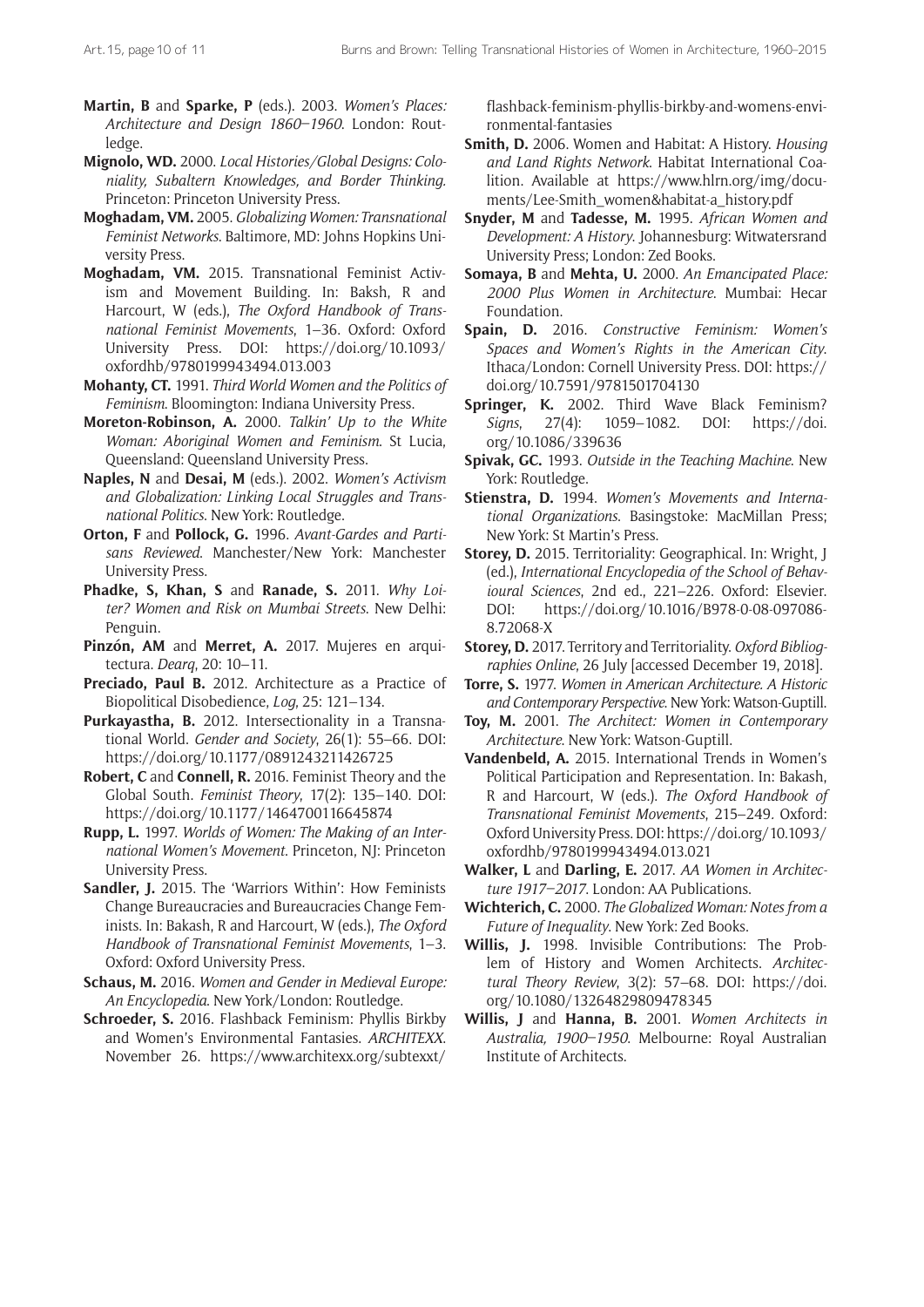- **Martin, B** and **Sparke, P** (eds.). 2003. *Women's Places: Architecture and Design 1860–1960*. London: Routledge.
- **Mignolo, WD.** 2000. *Local Histories/Global Designs: Coloniality, Subaltern Knowledges, and Border Thinking.*  Princeton: Princeton University Press.
- **Moghadam, VM.** 2005. *Globalizing Women: Transnational Feminist Networks*. Baltimore, MD: Johns Hopkins University Press.
- **Moghadam, VM.** 2015. Transnational Feminist Activism and Movement Building. In: Baksh, R and Harcourt, W (eds.), *The Oxford Handbook of Transnational Feminist Movements*, 1–36. Oxford: Oxford University Press. DOI: [https://doi.org/10.1093/](https://doi.org/10.1093/oxfordhb/9780199943494.013.003) [oxfordhb/9780199943494.013.003](https://doi.org/10.1093/oxfordhb/9780199943494.013.003)
- **Mohanty, CT.** 1991. *Third World Women and the Politics of Feminism*. Bloomington: Indiana University Press.
- **Moreton-Robinson, A.** 2000. *Talkin' Up to the White Woman: Aboriginal Women and Feminism*. St Lucia, Queensland: Queensland University Press.
- **Naples, N** and **Desai, M** (eds.). 2002. *Women's Activism and Globalization: Linking Local Struggles and Transnational Politics*. New York: Routledge.
- **Orton, F** and **Pollock, G.** 1996. *Avant-Gardes and Partisans Reviewed*. Manchester/New York: Manchester University Press.
- **Phadke, S, Khan, S** and **Ranade, S.** 2011. *Why Loiter? Women and Risk on Mumbai Streets*. New Delhi: Penguin.
- **Pinzón, AM** and **Merret, A.** 2017. Mujeres en arquitectura. *Dearq*, 20: 10–11.
- **Preciado, Paul B.** 2012. Architecture as a Practice of Biopolitical Disobedience, *Log*, 25: 121–134.
- **Purkayastha, B.** 2012. Intersectionality in a Transnational World. *Gender and Society*, 26(1): 55–66. DOI: <https://doi.org/10.1177/0891243211426725>
- **Robert, C** and **Connell, R.** 2016. Feminist Theory and the Global South. *Feminist Theory*, 17(2): 135–140. DOI: <https://doi.org/10.1177/1464700116645874>
- **Rupp, L.** 1997. *Worlds of Women: The Making of an International Women's Movement*. Princeton, NJ: Princeton University Press.
- **Sandler, J.** 2015. The 'Warriors Within': How Feminists Change Bureaucracies and Bureaucracies Change Feminists. In: Bakash, R and Harcourt, W (eds.), *The Oxford Handbook of Transnational Feminist Movements*, 1–3. Oxford: Oxford University Press.
- **Schaus, M.** 2016. *Women and Gender in Medieval Europe: An Encyclopedia*. New York/London: Routledge.
- **Schroeder, S.** 2016. Flashback Feminism: Phyllis Birkby and Women's Environmental Fantasies. *ARCHITEXX*. November 26. [https://www.architexx.org/subtexxt/](https://www.architexx.org/subtexxt/flashback-feminism-phyllis-birkby-and-womens-environmental-fantasies)

[flashback-feminism-phyllis-birkby-and-womens-envi](https://www.architexx.org/subtexxt/flashback-feminism-phyllis-birkby-and-womens-environmental-fantasies)[ronmental-fantasies](https://www.architexx.org/subtexxt/flashback-feminism-phyllis-birkby-and-womens-environmental-fantasies)

- **Smith, D.** 2006. Women and Habitat: A History. *Housing and Land Rights Network*. Habitat International Coalition. Available at [https://www.hlrn.org/img/docu](https://www.hlrn.org/img/documents/Lee-Smith_women&habitat-a_history.pdf)[ments/Lee-Smith\\_women&habitat-a\\_history.pdf](https://www.hlrn.org/img/documents/Lee-Smith_women&habitat-a_history.pdf)
- **Snyder, M** and **Tadesse, M.** 1995. *African Women and Development: A History*. Johannesburg: Witwatersrand University Press; London: Zed Books.
- **Somaya, B** and **Mehta, U.** 2000. *An Emancipated Place: 2000 Plus Women in Architecture*. Mumbai: Hecar Foundation.
- **Spain, D.** 2016. *Constructive Feminism: Women's Spaces and Women's Rights in the American City*. Ithaca/London: Cornell University Press. DOI: [https://](https://doi.org/10.7591/9781501704130) [doi.org/10.7591/9781501704130](https://doi.org/10.7591/9781501704130)
- **Springer, K.** 2002. Third Wave Black Feminism? *Signs*, 27(4): 1059–1082. DOI: [https://doi.](https://doi.org/10.1086/339636) [org/10.1086/339636](https://doi.org/10.1086/339636)
- **Spivak, GC.** 1993. *Outside in the Teaching Machine*. New York: Routledge.
- **Stienstra, D.** 1994. *Women's Movements and International Organizations*. Basingstoke: MacMillan Press; New York: St Martin's Press.
- **Storey, D.** 2015. Territoriality: Geographical. In: Wright, J (ed.), *International Encyclopedia of the School of Behavioural Sciences*, 2nd ed., 221–226. Oxford: Elsevier. DOI: [https://doi.org/10.1016/B978-0-08-097086-](https://doi.org/10.1016/B978-0-08-097086-8.72068-X) [8.72068-X](https://doi.org/10.1016/B978-0-08-097086-8.72068-X)
- **Storey, D.** 2017. Territory and Territoriality. *Oxford Bibliographies Online*, 26 July [accessed December 19, 2018].
- **Torre, S.** 1977. *Women in American Architecture. A Historic and Contemporary Perspective*. New York: Watson-Guptill.
- **Toy, M.** 2001. *The Architect: Women in Contemporary Architecture*. New York: Watson-Guptill.
- **Vandenbeld, A.** 2015. International Trends in Women's Political Participation and Representation. In: Bakash, R and Harcourt, W (eds.). *The Oxford Handbook of Transnational Feminist Movements*, 215–249*.* Oxford: Oxford University Press. DOI: [https://doi.org/10.1093/](https://doi.org/10.1093/oxfordhb/9780199943494.013.021) [oxfordhb/9780199943494.013.021](https://doi.org/10.1093/oxfordhb/9780199943494.013.021)
- **Walker, L** and **Darling, E.** 2017. *AA Women in Architecture 1917–2017*. London: AA Publications.
- **Wichterich, C.** 2000. *The Globalized Woman: Notes from a Future of Inequality*. New York: Zed Books.
- **Willis, J.** 1998. Invisible Contributions: The Problem of History and Women Architects. Architec*tural Theory Review*, 3(2): 57–68. DOI: [https://doi.](https://doi.org/10.1080/13264829809478345) [org/10.1080/13264829809478345](https://doi.org/10.1080/13264829809478345)
- **Willis, J** and **Hanna, B.** 2001. *Women Architects in Australia, 1900–1950*. Melbourne: Royal Australian Institute of Architects.